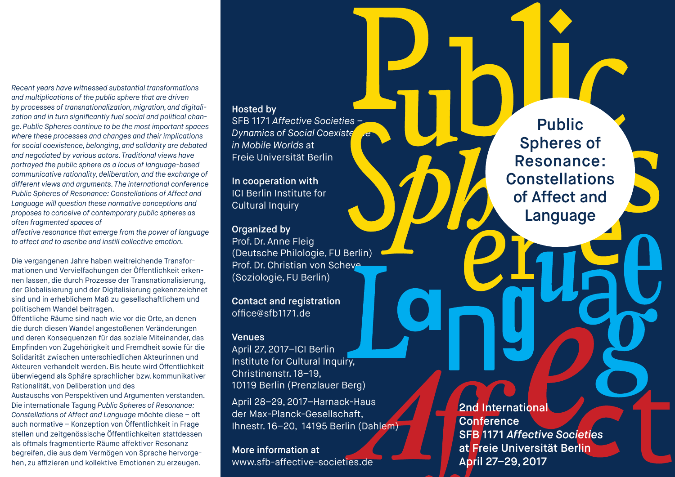*Recent years have witnessed substantial transformations and multiplications of the public sphere that are driven by processes of transnationalization, migration, and digitalization and in turn significantly fuel social and political change. Public Spheres continue to be the most important spaces where these processes and changes and their implications for social coexistence, belonging, and solidarity are debated and negotiated by various actors. Traditional views have portrayed the public sphere as a locus of language-based communicative rationality, deliberation, and the exchange of different views and arguments. The international conference Public Spheres of Resonance: Constellations of Affect and Language will question these normative conceptions and proposes to conceive of contemporary public spheres as often fragmented spaces of* 

*affective resonance that emerge from the power of language to affect and to ascribe and instill collective emotion.* 

Die vergangenen Jahre haben weitreichende Transformationen und Vervielfachungen der Öffentlichkeit erkennen lassen, die durch Prozesse der Transnationalisierung, der Globalisierung und der Digitalisierung gekennzeichnet sind und in erheblichem Maß zu gesellschaftlichem und politischem Wandel beitragen.

Öffentliche Räume sind nach wie vor die Orte, an denen die durch diesen Wandel angestoßenen Veränderungen und deren Konsequenzen für das soziale Miteinander, das Empfinden von Zugehörigkeit und Fremdheit sowie für die Solidarität zwischen unterschiedlichen Akteurinnen und Akteuren verhandelt werden. Bis heute wird Öffentlichkeit überwiegend als Sphäre sprachlicher bzw. kommunikativer Rationalität, von Deliberation und des

Austauschs von Perspektiven und Argumenten verstanden. Die internationale Tagung *Public Spheres of Resonance: Constellations of Affect and Language* möchte diese – oft auch normative – Konzeption von Öffentlichkeit in Frage stellen und zeitgenössische Öffentlichkeiten stattdessen als oftmals fragmentierte Räume affektiver Resonanz begreifen, die aus dem Vermögen von Sprache hervorgehen, zu affizieren und kollektive Emotionen zu erzeugen.

# Hosted by

SFB 1171 *Affective Societies –* **Dynamics of Social Coexiste** *in Mobile Worlds* at Freie Universität Berlin

In cooperation with ICI Berlin Institute for Cultural Inquiry

### Organized by

Prof. Dr. Anne Fleig (Deutsche Philologie, FU Berlin) Prof. Dr. Christian von Scheve (Soziologie, FU Berlin)

Contact and registration office@sfb1171.de

#### **Venues**

April 27, 2017–ICI Berlin Institute for Cultural Inquiry. Christinenstr. 18–19, 10119 Berlin (Prenzlauer Berg)

April 28–29, 2017–Harnack-Haus der Max-Planck-Gesellschaft, Ihnestr. 16–20, 14195 Berlin (Dahlem)

More information at www.sfb-affective-societies.de

Public Spheres of Resonance: **Constellations** of Affect and Language

**2nd International Conference** SFB 1171 *Affective Societies* at Freie Universität Berlin April 27–29, 2017